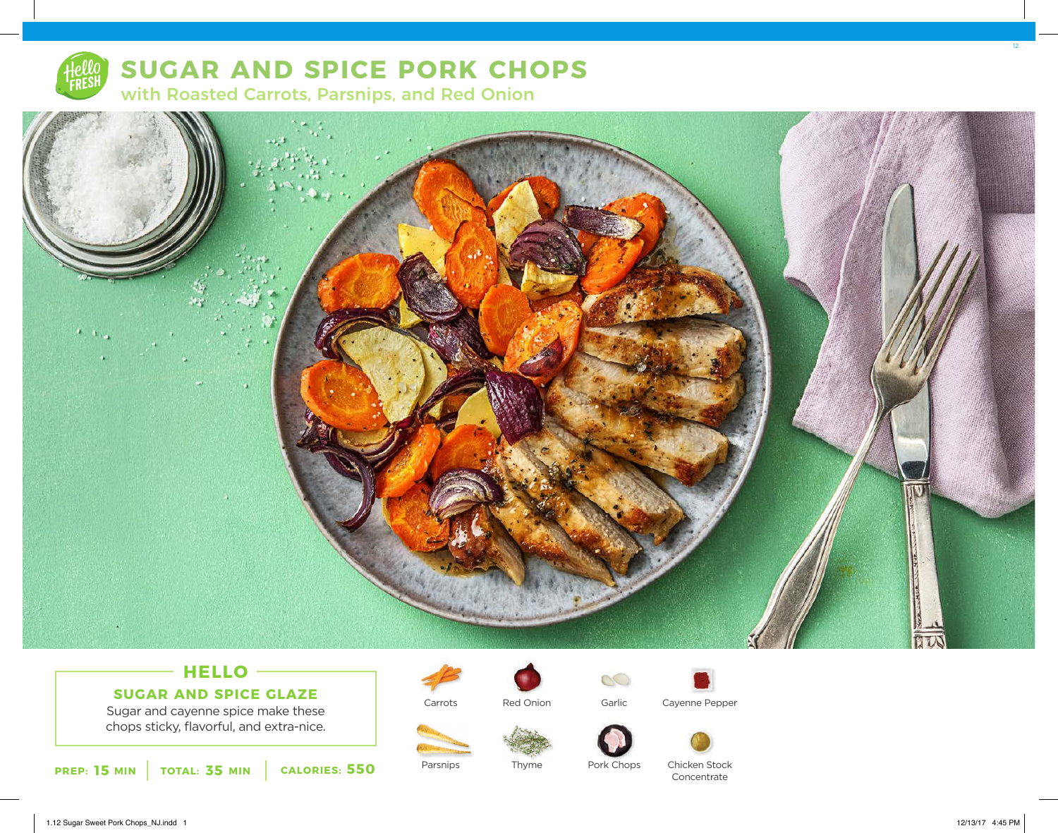

# **SUGAR AND SPICE PORK CHOPS**

with Roasted Carrots, Parsnips, and Red Onion



## **HELLO**

Sugar and cayenne spice make these **SUGAR AND SPICE GLAZE**

chops sticky, flavorful, and extra-nice.





Parsnips

Red Onion

Thyme



Garlic

Pork Chops

Cayenne Pepper





Chicken Stock Concentrate

1.12 Sugar Sweet Pork Chops\_NJ.indd 1 12/13/17 4:45 PM

12